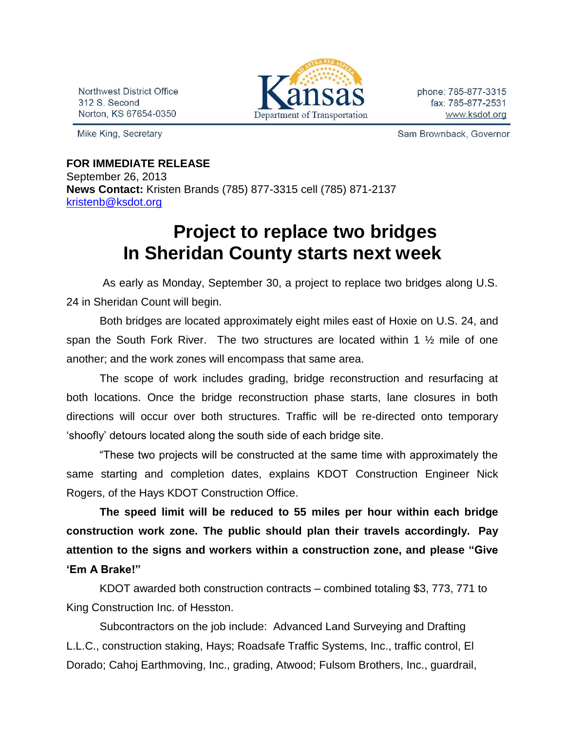Northwest District Office 312 S. Second Norton, KS 67654-0350

Mike King, Secretary



phone: 785-877-3315 fax: 785-877-2531 www.ksdot.org

Sam Brownback, Governor

## **FOR IMMEDIATE RELEASE** September 26, 2013 **News Contact:** Kristen Brands (785) 877-3315 cell (785) 871-2137 [kristenb@ksdot.org](mailto:kristenb@ksdot.org)

## **Project to replace two bridges In Sheridan County starts next week**

 As early as Monday, September 30, a project to replace two bridges along U.S. 24 in Sheridan Count will begin.

Both bridges are located approximately eight miles east of Hoxie on U.S. 24, and span the South Fork River. The two structures are located within 1 ½ mile of one another; and the work zones will encompass that same area.

The scope of work includes grading, bridge reconstruction and resurfacing at both locations. Once the bridge reconstruction phase starts, lane closures in both directions will occur over both structures. Traffic will be re-directed onto temporary 'shoofly' detours located along the south side of each bridge site.

"These two projects will be constructed at the same time with approximately the same starting and completion dates, explains KDOT Construction Engineer Nick Rogers, of the Hays KDOT Construction Office.

**The speed limit will be reduced to 55 miles per hour within each bridge construction work zone. The public should plan their travels accordingly. Pay attention to the signs and workers within a construction zone, and please "Give 'Em A Brake!"**

KDOT awarded both construction contracts – combined totaling \$3, 773, 771 to King Construction Inc. of Hesston.

Subcontractors on the job include: Advanced Land Surveying and Drafting L.L.C., construction staking, Hays; Roadsafe Traffic Systems, Inc., traffic control, El Dorado; Cahoj Earthmoving, Inc., grading, Atwood; Fulsom Brothers, Inc., guardrail,